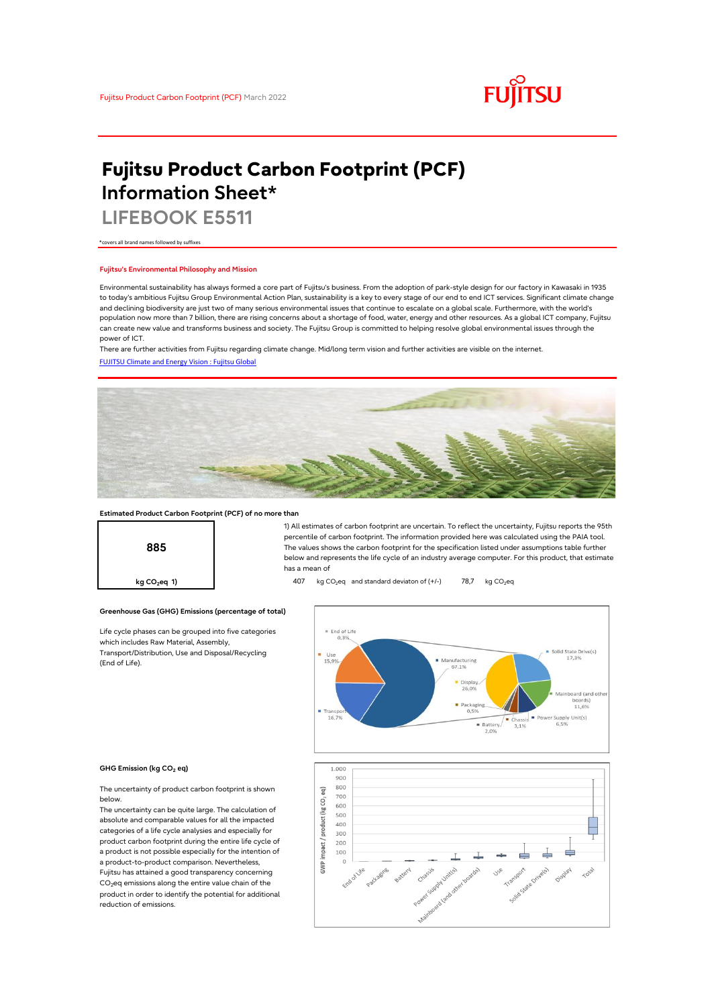

# **Fujitsu Product Carbon Footprint (PCF) Information Sheet\***

**LIFEBOOK E5511**

\*covers all brand names followed by suffixes

## **Fujitsu's Environmental Philosophy and Mission**

Environmental sustainability has always formed a core part of Fujitsu's business. From the adoption of park-style design for our factory in Kawasaki in 1935 to today's ambitious Fujitsu Group Environmental Action Plan, sustainability is a key to every stage of our end to end ICT services. Significant climate change and declining biodiversity are just two of many serious environmental issues that continue to escalate on a global scale. Furthermore, with the world's population now more than 7 billion, there are rising concerns about a shortage of food, water, energy and other resources. As a global ICT company, Fujitsu can create new value and transforms business and society. The Fujitsu Group is committed to helping resolve global environmental issues through the power of ICT.

[FUJITSU Climate and Energy Vision : Fujitsu Global](https://www.fujitsu.com/global/about/environment/climate-energy-vision/) There are further activities from Fujitsu regarding climate change. Mid/long term vision and further activities are visible on the internet.



## **Estimated Product Carbon Footprint (PCF) of no more than**



1) All estimates of carbon footprint are uncertain. To reflect the uncertainty, Fujitsu reports the 95th percentile of carbon footprint. The information provided here was calculated using the PAIA tool. The values shows the carbon footprint for the specification listed under assumptions table further below and represents the life cycle of an industry average computer. For this product, that estimate has a mean of

**kg CO<sub>2</sub>eq 1) 407** kg CO<sub>2</sub>eq and standard deviaton of (+/-) 78,7 kg CO<sub>2</sub>eq



### **GHG Emission (kg CO2 eq)**

(End of Life).

The uncertainty of product carbon footprint is shown below.

Life cycle phases can be grouped into five categories

**Greenhouse Gas (GHG) Emissions (percentage of total)**

which includes Raw Material, Assembly, Transport/Distribution, Use and Disposal/Recycling

The uncertainty can be quite large. The calculation of absolute and comparable values for all the impacted categories of a life cycle analysies and especially for product carbon footprint during the entire life cycle of a product is not possible especially for the intention of a product-to-product comparison. Nevertheless, Fujitsu has attained a good transparency concerning CO<sub>2</sub>eq emissions along the entire value chain of the product in order to identify the potential for additional reduction of emissions.